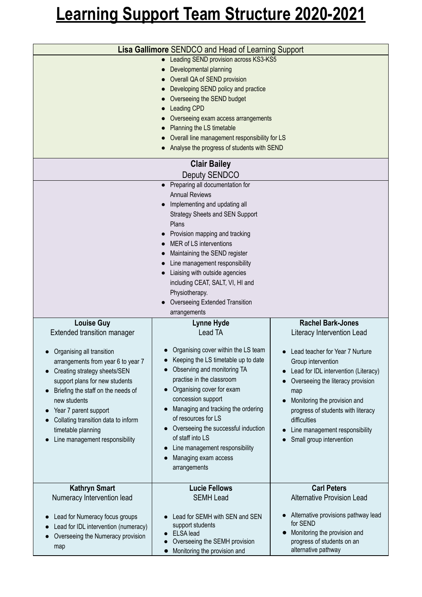## **Learning Support Team Structure 2020-2021**

|                                                                                                                                                                                                                                                                                                                                                                            | <b>Lisa Gallimore</b> SENDCO and Head of Learning Support<br><b>Leading SEND provision across KS3-KS5</b><br>$\bullet$<br>Developmental planning<br>Overall QA of SEND provision<br>Developing SEND policy and practice<br>Overseeing the SEND budget<br><b>Leading CPD</b><br>Overseeing exam access arrangements<br>Planning the LS timetable<br>Overall line management responsibility for LS<br>Analyse the progress of students with SEND                                   |                                                                                                                                                                                                                                                                                                                                                                |  |
|----------------------------------------------------------------------------------------------------------------------------------------------------------------------------------------------------------------------------------------------------------------------------------------------------------------------------------------------------------------------------|----------------------------------------------------------------------------------------------------------------------------------------------------------------------------------------------------------------------------------------------------------------------------------------------------------------------------------------------------------------------------------------------------------------------------------------------------------------------------------|----------------------------------------------------------------------------------------------------------------------------------------------------------------------------------------------------------------------------------------------------------------------------------------------------------------------------------------------------------------|--|
| <b>Clair Bailey</b>                                                                                                                                                                                                                                                                                                                                                        |                                                                                                                                                                                                                                                                                                                                                                                                                                                                                  |                                                                                                                                                                                                                                                                                                                                                                |  |
|                                                                                                                                                                                                                                                                                                                                                                            | <b>Deputy SENDCO</b><br>Preparing all documentation for<br>$\bullet$<br><b>Annual Reviews</b><br>Implementing and updating all<br><b>Strategy Sheets and SEN Support</b><br><b>Plans</b><br>Provision mapping and tracking<br><b>MER of LS interventions</b><br>Maintaining the SEND register<br>Line management responsibility<br>Liaising with outside agencies<br>including CEAT, SALT, VI, HI and<br>Physiotherapy.<br><b>Overseeing Extended Transition</b><br>arrangements |                                                                                                                                                                                                                                                                                                                                                                |  |
| <b>Louise Guy</b><br><b>Extended transition manager</b><br>Organising all transition<br>arrangements from year 6 to year 7<br>Creating strategy sheets/SEN<br>support plans for new students<br>Briefing the staff on the needs of<br>new students<br>Year 7 parent support<br>Collating transition data to inform<br>timetable planning<br>Line management responsibility | Lynne Hyde<br><b>Lead TA</b><br>Organising cover within the LS team<br>Keeping the LS timetable up to date<br>Observing and monitoring TA<br>practise in the classroom<br>Organising cover for exam<br>concession support<br>Managing and tracking the ordering<br>of resources for LS<br>Overseeing the successful induction<br>of staff into LS<br>Line management responsibility<br>Managing exam access<br>arrangements                                                      | <b>Rachel Bark-Jones</b><br><b>Literacy Intervention Lead</b><br>Lead teacher for Year 7 Nurture<br>Group intervention<br>Lead for IDL intervention (Literacy)<br>Overseeing the literacy provision<br>map<br>Monitoring the provision and<br>progress of students with literacy<br>difficulties<br>Line management responsibility<br>Small group intervention |  |
| <b>Kathryn Smart</b><br>Numeracy Intervention lead<br>Lead for Numeracy focus groups<br>Lead for IDL intervention (numeracy)<br>Overseeing the Numeracy provision<br>map                                                                                                                                                                                                   | <b>Lucie Fellows</b><br><b>SEMH Lead</b><br>Lead for SEMH with SEN and SEN<br>support students<br><b>ELSA</b> lead<br>Overseeing the SEMH provision<br>Monitoring the provision and                                                                                                                                                                                                                                                                                              | <b>Carl Peters</b><br><b>Alternative Provision Lead</b><br>Alternative provisions pathway lead<br>for SEND<br>Monitoring the provision and<br>progress of students on an<br>alternative pathway                                                                                                                                                                |  |